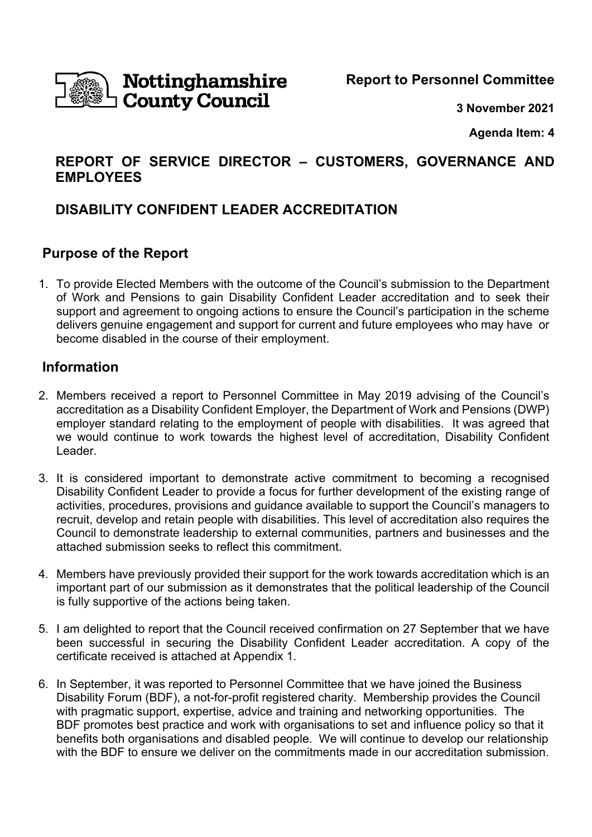

**Report to Personnel Committee** 

**3 November 2021** 

**Agenda Item: 4** 

# **REPORT OF SERVICE DIRECTOR – CUSTOMERS, GOVERNANCE AND EMPLOYEES**

# **DISABILITY CONFIDENT LEADER ACCREDITATION**

## **Purpose of the Report**

1. To provide Elected Members with the outcome of the Council's submission to the Department of Work and Pensions to gain Disability Confident Leader accreditation and to seek their support and agreement to ongoing actions to ensure the Council's participation in the scheme delivers genuine engagement and support for current and future employees who may have or become disabled in the course of their employment.

## **Information**

- 2. Members received a report to Personnel Committee in May 2019 advising of the Council's accreditation as a Disability Confident Employer, the Department of Work and Pensions (DWP) employer standard relating to the employment of people with disabilities. It was agreed that we would continue to work towards the highest level of accreditation, Disability Confident Leader.
- 3. It is considered important to demonstrate active commitment to becoming a recognised Disability Confident Leader to provide a focus for further development of the existing range of activities, procedures, provisions and guidance available to support the Council's managers to recruit, develop and retain people with disabilities. This level of accreditation also requires the Council to demonstrate leadership to external communities, partners and businesses and the attached submission seeks to reflect this commitment.
- 4. Members have previously provided their support for the work towards accreditation which is an important part of our submission as it demonstrates that the political leadership of the Council is fully supportive of the actions being taken.
- 5. I am delighted to report that the Council received confirmation on 27 September that we have been successful in securing the Disability Confident Leader accreditation. A copy of the certificate received is attached at Appendix 1.
- 6. In September, it was reported to Personnel Committee that we have joined the Business Disability Forum (BDF), a not-for-profit registered charity. Membership provides the Council with pragmatic support, expertise, advice and training and networking opportunities. The BDF promotes best practice and work with organisations to set and influence policy so that it benefits both organisations and disabled people. We will continue to develop our relationship with the BDF to ensure we deliver on the commitments made in our accreditation submission.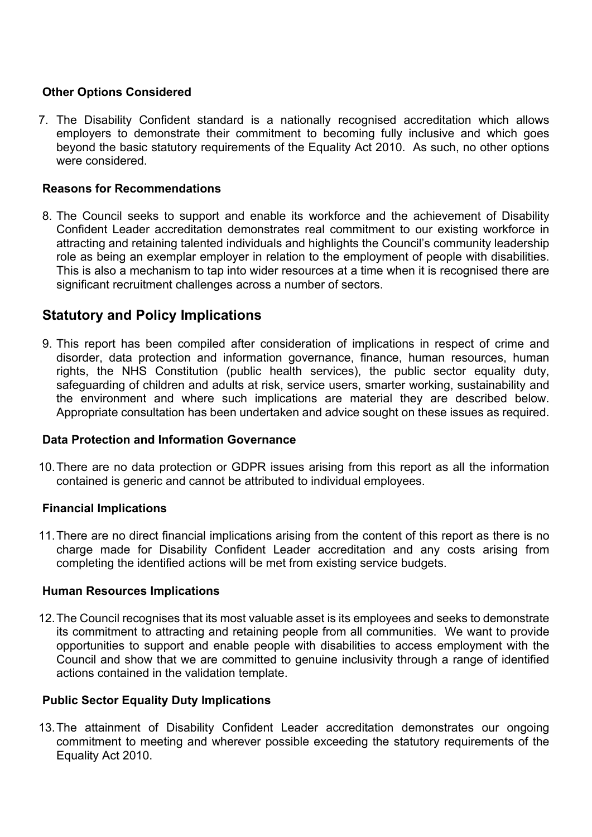### **Other Options Considered**

7. The Disability Confident standard is a nationally recognised accreditation which allows employers to demonstrate their commitment to becoming fully inclusive and which goes beyond the basic statutory requirements of the Equality Act 2010. As such, no other options were considered.

#### **Reasons for Recommendations**

8. The Council seeks to support and enable its workforce and the achievement of Disability Confident Leader accreditation demonstrates real commitment to our existing workforce in attracting and retaining talented individuals and highlights the Council's community leadership role as being an exemplar employer in relation to the employment of people with disabilities. This is also a mechanism to tap into wider resources at a time when it is recognised there are significant recruitment challenges across a number of sectors.

## **Statutory and Policy Implications**

9. This report has been compiled after consideration of implications in respect of crime and disorder, data protection and information governance, finance, human resources, human rights, the NHS Constitution (public health services), the public sector equality duty, safeguarding of children and adults at risk, service users, smarter working, sustainability and the environment and where such implications are material they are described below. Appropriate consultation has been undertaken and advice sought on these issues as required.

### **Data Protection and Information Governance**

10. There are no data protection or GDPR issues arising from this report as all the information contained is generic and cannot be attributed to individual employees.

#### **Financial Implications**

11. There are no direct financial implications arising from the content of this report as there is no charge made for Disability Confident Leader accreditation and any costs arising from completing the identified actions will be met from existing service budgets.

#### **Human Resources Implications**

12. The Council recognises that its most valuable asset is its employees and seeks to demonstrate its commitment to attracting and retaining people from all communities. We want to provide opportunities to support and enable people with disabilities to access employment with the Council and show that we are committed to genuine inclusivity through a range of identified actions contained in the validation template.

#### **Public Sector Equality Duty Implications**

13. The attainment of Disability Confident Leader accreditation demonstrates our ongoing commitment to meeting and wherever possible exceeding the statutory requirements of the Equality Act 2010.